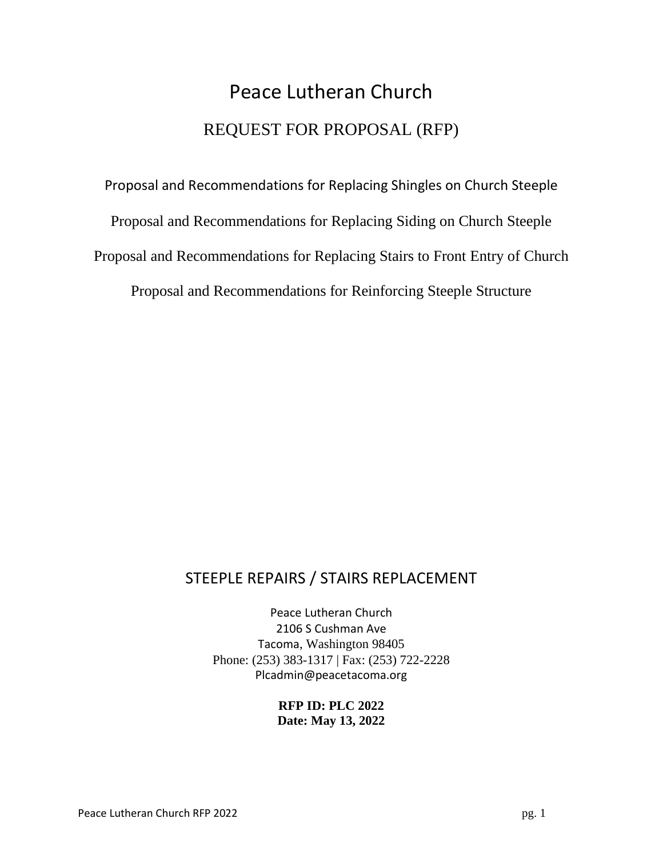# Peace Lutheran Church REQUEST FOR PROPOSAL (RFP)

Proposal and Recommendations for Replacing Shingles on Church Steeple

Proposal and Recommendations for Replacing Siding on Church Steeple

Proposal and Recommendations for Replacing Stairs to Front Entry of Church

Proposal and Recommendations for Reinforcing Steeple Structure

# STEEPLE REPAIRS / STAIRS REPLACEMENT

Peace Lutheran Church 2106 S Cushman Ave Tacoma, Washington 98405 Phone: (253) 383-1317 | Fax: (253) 722-2228 Plcadmin@peacetacoma.org

> **RFP ID: PLC 2022 Date: May 13, 2022**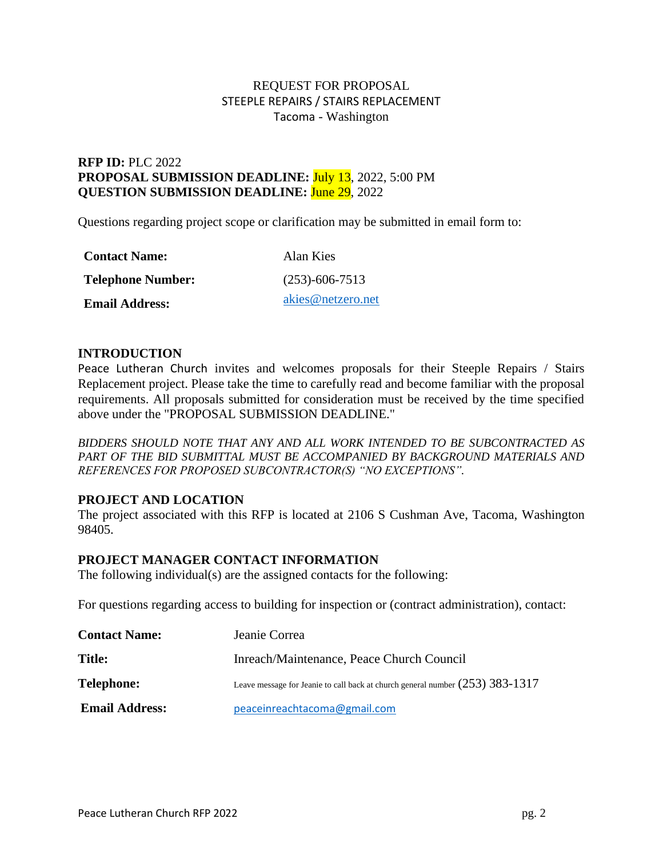# REQUEST FOR PROPOSAL STEEPLE REPAIRS / STAIRS REPLACEMENT Tacoma - Washington

# **RFP ID:** PLC 2022 **PROPOSAL SUBMISSION DEADLINE:** July 13, 2022, 5:00 PM **QUESTION SUBMISSION DEADLINE:** June 29, 2022

Questions regarding project scope or clarification may be submitted in email form to:

| <b>Contact Name:</b>     | Alan Kies            |
|--------------------------|----------------------|
| <b>Telephone Number:</b> | $(253) - 606 - 7513$ |
| <b>Email Address:</b>    | akies@netzero.net    |

### **INTRODUCTION**

Peace Lutheran Church invites and welcomes proposals for their Steeple Repairs / Stairs Replacement project. Please take the time to carefully read and become familiar with the proposal requirements. All proposals submitted for consideration must be received by the time specified above under the "PROPOSAL SUBMISSION DEADLINE."

*BIDDERS SHOULD NOTE THAT ANY AND ALL WORK INTENDED TO BE SUBCONTRACTED AS*  PART OF THE BID SUBMITTAL MUST BE ACCOMPANIED BY BACKGROUND MATERIALS AND *REFERENCES FOR PROPOSED SUBCONTRACTOR(S) "NO EXCEPTIONS".*

### **PROJECT AND LOCATION**

The project associated with this RFP is located at 2106 S Cushman Ave, Tacoma, Washington 98405.

### **PROJECT MANAGER CONTACT INFORMATION**

The following individual(s) are the assigned contacts for the following:

For questions regarding access to building for inspection or (contract administration), contact:

| <b>Contact Name:</b>  | Jeanie Correa                                                                   |
|-----------------------|---------------------------------------------------------------------------------|
| <b>Title:</b>         | Inreach/Maintenance, Peace Church Council                                       |
| <b>Telephone:</b>     | Leave message for Jeanie to call back at church general number $(253)$ 383-1317 |
| <b>Email Address:</b> | peaceinreachtacoma@gmail.com                                                    |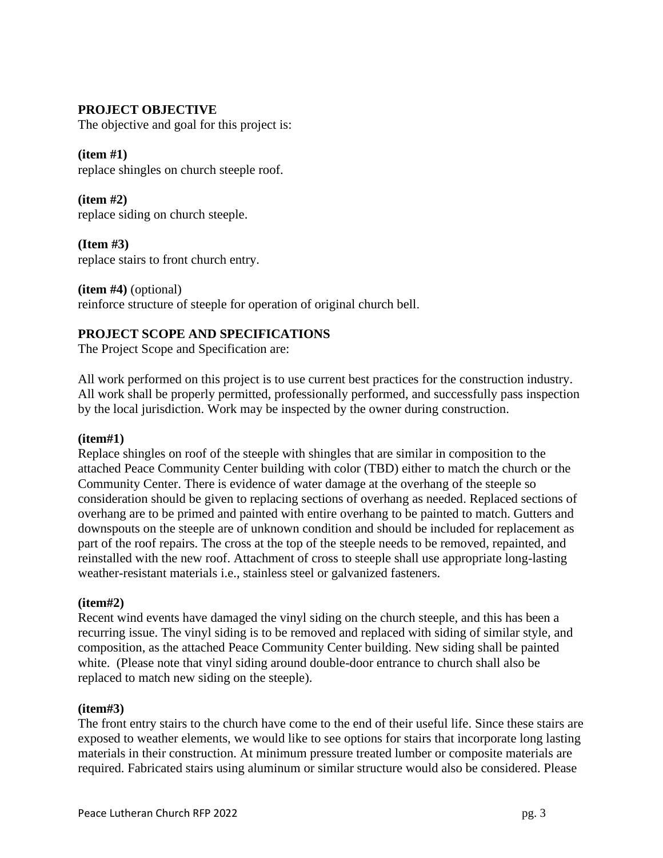# **PROJECT OBJECTIVE**

The objective and goal for this project is:

**(item #1)** replace shingles on church steeple roof.

**(item #2)** replace siding on church steeple.

**(Item #3)** replace stairs to front church entry.

**(item #4)** (optional) reinforce structure of steeple for operation of original church bell.

# **PROJECT SCOPE AND SPECIFICATIONS**

The Project Scope and Specification are:

All work performed on this project is to use current best practices for the construction industry. All work shall be properly permitted, professionally performed, and successfully pass inspection by the local jurisdiction. Work may be inspected by the owner during construction.

### **(item#1)**

Replace shingles on roof of the steeple with shingles that are similar in composition to the attached Peace Community Center building with color (TBD) either to match the church or the Community Center. There is evidence of water damage at the overhang of the steeple so consideration should be given to replacing sections of overhang as needed. Replaced sections of overhang are to be primed and painted with entire overhang to be painted to match. Gutters and downspouts on the steeple are of unknown condition and should be included for replacement as part of the roof repairs. The cross at the top of the steeple needs to be removed, repainted, and reinstalled with the new roof. Attachment of cross to steeple shall use appropriate long-lasting weather-resistant materials i.e., stainless steel or galvanized fasteners.

## **(item#2)**

Recent wind events have damaged the vinyl siding on the church steeple, and this has been a recurring issue. The vinyl siding is to be removed and replaced with siding of similar style, and composition, as the attached Peace Community Center building. New siding shall be painted white. (Please note that vinyl siding around double-door entrance to church shall also be replaced to match new siding on the steeple).

### **(item#3)**

The front entry stairs to the church have come to the end of their useful life. Since these stairs are exposed to weather elements, we would like to see options for stairs that incorporate long lasting materials in their construction. At minimum pressure treated lumber or composite materials are required. Fabricated stairs using aluminum or similar structure would also be considered. Please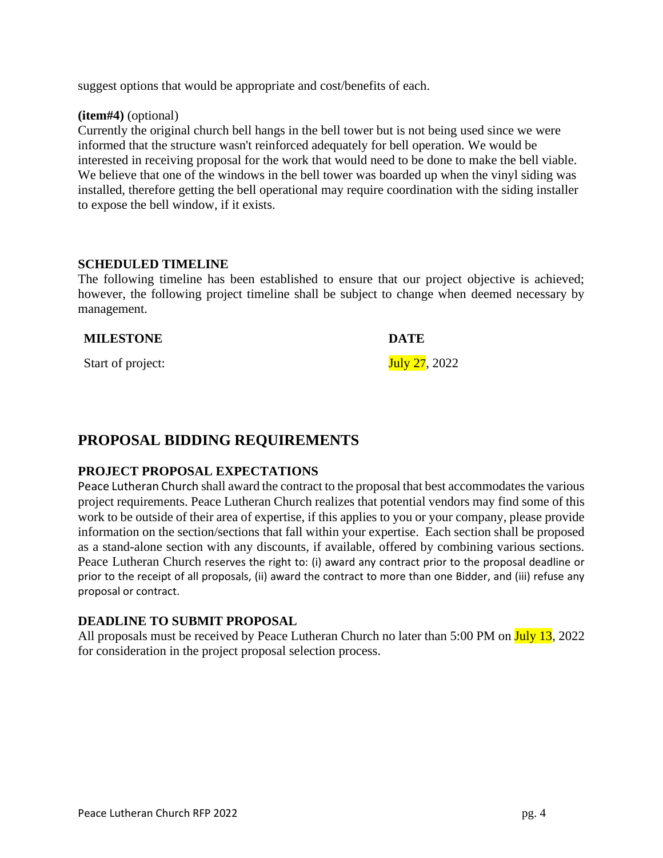suggest options that would be appropriate and cost/benefits of each.

### **(item#4)** (optional)

Currently the original church bell hangs in the bell tower but is not being used since we were informed that the structure wasn't reinforced adequately for bell operation. We would be interested in receiving proposal for the work that would need to be done to make the bell viable. We believe that one of the windows in the bell tower was boarded up when the vinyl siding was installed, therefore getting the bell operational may require coordination with the siding installer to expose the bell window, if it exists.

### **SCHEDULED TIMELINE**

The following timeline has been established to ensure that our project objective is achieved; however, the following project timeline shall be subject to change when deemed necessary by management.

### **MILESTONE DATE**

Start of project: July 27, 2022

# **PROPOSAL BIDDING REQUIREMENTS**

### **PROJECT PROPOSAL EXPECTATIONS**

Peace Lutheran Church shall award the contract to the proposal that best accommodates the various project requirements. Peace Lutheran Church realizes that potential vendors may find some of this work to be outside of their area of expertise, if this applies to you or your company, please provide information on the section/sections that fall within your expertise. Each section shall be proposed as a stand-alone section with any discounts, if available, offered by combining various sections. Peace Lutheran Church reserves the right to: (i) award any contract prior to the proposal deadline or prior to the receipt of all proposals, (ii) award the contract to more than one Bidder, and (iii) refuse any proposal or contract.

### **DEADLINE TO SUBMIT PROPOSAL**

All proposals must be received by Peace Lutheran Church no later than 5:00 PM on July 13, 2022 for consideration in the project proposal selection process.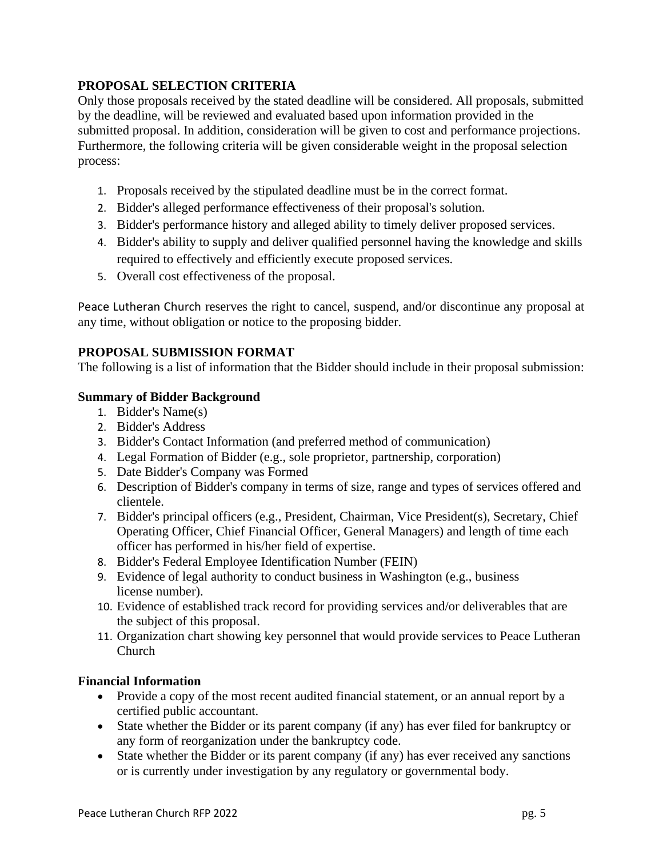# **PROPOSAL SELECTION CRITERIA**

Only those proposals received by the stated deadline will be considered. All proposals, submitted by the deadline, will be reviewed and evaluated based upon information provided in the submitted proposal. In addition, consideration will be given to cost and performance projections. Furthermore, the following criteria will be given considerable weight in the proposal selection process:

- 1. Proposals received by the stipulated deadline must be in the correct format.
- 2. Bidder's alleged performance effectiveness of their proposal's solution.
- 3. Bidder's performance history and alleged ability to timely deliver proposed services.
- 4. Bidder's ability to supply and deliver qualified personnel having the knowledge and skills required to effectively and efficiently execute proposed services.
- 5. Overall cost effectiveness of the proposal.

Peace Lutheran Church reserves the right to cancel, suspend, and/or discontinue any proposal at any time, without obligation or notice to the proposing bidder.

# **PROPOSAL SUBMISSION FORMAT**

The following is a list of information that the Bidder should include in their proposal submission:

# **Summary of Bidder Background**

- 1. Bidder's Name(s)
- 2. Bidder's Address
- 3. Bidder's Contact Information (and preferred method of communication)
- 4. Legal Formation of Bidder (e.g., sole proprietor, partnership, corporation)
- 5. Date Bidder's Company was Formed
- 6. Description of Bidder's company in terms of size, range and types of services offered and clientele.
- 7. Bidder's principal officers (e.g., President, Chairman, Vice President(s), Secretary, Chief Operating Officer, Chief Financial Officer, General Managers) and length of time each officer has performed in his/her field of expertise.
- 8. Bidder's Federal Employee Identification Number (FEIN)
- 9. Evidence of legal authority to conduct business in Washington (e.g., business license number).
- 10. Evidence of established track record for providing services and/or deliverables that are the subject of this proposal.
- 11. Organization chart showing key personnel that would provide services to Peace Lutheran Church

## **Financial Information**

- Provide a copy of the most recent audited financial statement, or an annual report by a certified public accountant.
- State whether the Bidder or its parent company (if any) has ever filed for bankruptcy or any form of reorganization under the bankruptcy code.
- State whether the Bidder or its parent company (if any) has ever received any sanctions or is currently under investigation by any regulatory or governmental body.